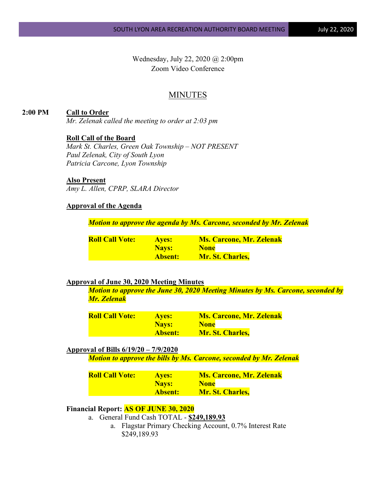Wednesday, July 22, 2020 @ 2:00pm Zoom Video Conference

# **MINUTES**

**2:00 PM Call to Order** *Mr. Zelenak called the meeting to order at 2:03 pm*

### **Roll Call of the Board**

*Mark St. Charles, Green Oak Township – NOT PRESENT Paul Zelenak, City of South Lyon Patricia Carcone, Lyon Township*

### **Also Present**

*Amy L. Allen, CPRP, SLARA Director*

# **Approval of the Agenda**

*Motion to approve the agenda by Ms. Carcone, seconded by Mr. Zelenak*

| <b>Roll Call Vote:</b> | <b>Aves:</b>   | <b>Ms. Carcone, Mr. Zelenak</b> |
|------------------------|----------------|---------------------------------|
|                        | <b>Navs:</b>   | <b>None</b>                     |
|                        | <b>Absent:</b> | <b>Mr. St. Charles,</b>         |

#### **Approval of June 30, 2020 Meeting Minutes**

*Motion to approve the June 30, 2020 Meeting Minutes by Ms. Carcone, seconded by Mr. Zelenak*

| <b>Roll Call Vote:</b> | <b>Ayes:</b>   | <b>Ms. Carcone, Mr. Zelenak</b> |
|------------------------|----------------|---------------------------------|
|                        | <b>Navs:</b>   | <b>None</b>                     |
|                        | <b>Absent:</b> | <b>Mr. St. Charles,</b>         |

#### **Approval of Bills 6/19/20 – 7/9/2020**

*Motion to approve the bills by Ms. Carcone, seconded by Mr. Zelenak*

| <b>Roll Call Vote:</b> | <b>Ayes:</b>   | <b>Ms. Carcone, Mr. Zelenak</b> |
|------------------------|----------------|---------------------------------|
|                        | Nays:          | <b>None</b>                     |
|                        | <b>Absent:</b> | <b>Mr. St. Charles,</b>         |

### **Financial Report: AS OF JUNE 30, 2020**

- a. General Fund Cash TOTAL **\$249,189.93**
	- a. Flagstar Primary Checking Account, 0.7% Interest Rate \$249,189.93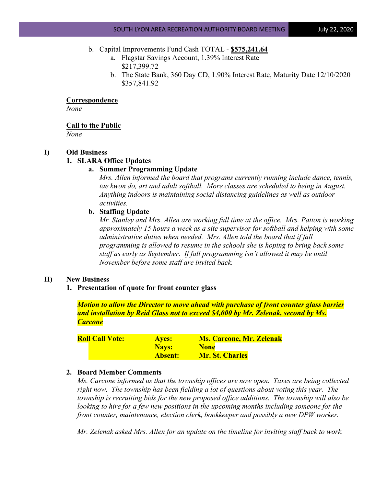### b. Capital Improvements Fund Cash TOTAL - **\$575,241.64**

- a. Flagstar Savings Account, 1.39% Interest Rate \$217,399.72
- b. The State Bank, 360 Day CD, 1.90% Interest Rate, Maturity Date 12/10/2020 \$357,841.92

### **Correspondence**

*None*

#### **Call to the Public**

*None*

## **I) Old Business**

### **1. SLARA Office Updates**

### **a. Summer Programming Update**

*Mrs. Allen informed the board that programs currently running include dance, tennis, tae kwon do, art and adult softball. More classes are scheduled to being in August. Anything indoors is maintaining social distancing guidelines as well as outdoor activities.*

#### **b. Staffing Update**

*Mr. Stanley and Mrs. Allen are working full time at the office. Mrs. Patton is working approximately 15 hours a week as a site supervisor for softball and helping with some administrative duties when needed. Mrs. Allen told the board that if fall programming is allowed to resume in the schools she is hoping to bring back some staff as early as September. If fall programming isn't allowed it may be until November before some staff are invited back.*

#### **II) New Business**

**1. Presentation of quote for front counter glass** 

*Motion to allow the Director to move ahead with purchase of front counter glass barrier and installation by Reid Glass not to exceed \$4,000 by Mr. Zelenak, second by Ms. Carcone*

| <b>Roll Call Vote:</b> | <b>Ayes:</b>   | <b>Ms. Carcone, Mr. Zelenak</b> |  |
|------------------------|----------------|---------------------------------|--|
|                        | Nays:          | <b>None</b>                     |  |
|                        | <b>Absent:</b> | <b>Mr. St. Charles</b>          |  |

#### **2. Board Member Comments**

*Ms. Carcone informed us that the township offices are now open. Taxes are being collected right now. The township has been fielding a lot of questions about voting this year. The township is recruiting bids for the new proposed office additions. The township will also be looking to hire for a few new positions in the upcoming months including someone for the front counter, maintenance, election clerk, bookkeeper and possibly a new DPW worker.*

*Mr. Zelenak asked Mrs. Allen for an update on the timeline for inviting staff back to work.*